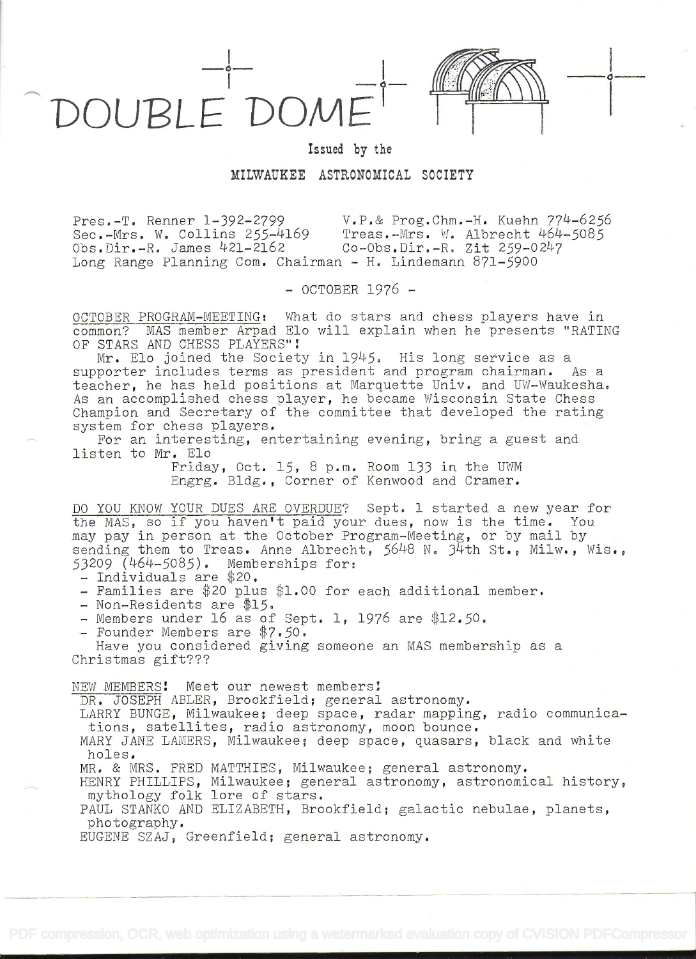

Issued by the

## MILWAUKEE ASTRONOMICAL SOCIETY

Pres.-T. Renner 1-392-2799 V.P.& Prog.Chm.-H. Kuehn 774-6256<br>Sec.-Mrs. W. Collins 255-4169 Treas.-Mrs. W. Albrecht 464-5085 Sec.-Mrs. W. Collins 255-4169 Treas.-Mrs. W. Albrecht 464<br>Obs.Dir.-R. James 421-2162 Co-Obs.Dir.-R. Zit 259-0247  $Obs.Dir.-R.$  James  $421-2162$ Long Range Planning Com. Chairman - H. Lindemann 871-5900

- OCTOBER 1976 -

OCTOBER PROGRAM-MEETING: What do stars and chess players have in common? MAS member Arpad Elo will explain when he presents "RATING OF STARS AND CHESS PLAYERS"!

Mr. Elo joined the Society in 1945. His long service as a supporter includes terms as president and program chairman. As a teacher, he has held positions at Marquette Univ. and UW-Waukesha. As an accomplished chess player, he became Wisconsin State Chess Champion and Secretary of the committee that developed the rating<br>system for chess players.

For an interesting, entertaining evening, bring a guest and listen to Mr. Elo

Friday, Oct. 15, 8 p.m. Room 133 in the UWM Engrg. Bldg. , Corner of Kenwood and Cramer.

DO YOU KNOW YOUR DUES ARE OVERDUE? Sept. 1 started a new year for bo <u>foo know fook boes ARE overboe</u>: Sept. I started a new year for<br>the MAS, so if you haven't paid your dues, now is the time. You may pay in person at the October Program-Meeting, or by mail by<br>sending them to Treas. Anne Albrecht, 5648 N. 34th St., Milw., Wis.,<br>53209 (464-5085). Memberships for:

- 
- 53209 Individuals are \$20.<br>
5320 Families are 20 plus \$1.00 for each additional member. Non-Residents are \$15.<br>
 Non-Residents are \$15. Sept. 1, 1976 are \$12.50.<br>
 Founder Members are \$7.50.
- 
- 
- 

Have you considered giving someone an MAS membership as a Christmas gift???

NEW MEMBERs! Meet our newest members!

DR. JOSEPH ABLER, Brookfield; general astronomy.

LARRY BUNGE, Milwaukee; deep space, radar mapping, radio communica-<br>tions, satellites, radio astronomy, moon bounce.

MARY JANE LAMERS, Milwaukee; deep space, quasars, black and white holes.

MR. & MRS. FRED MATTHIES, Milwaukee; general astronomy.

HENRY PHILLIPS, Milwaukee; general astronomy, astronomical history, mythology folk lore of stars.

PAUL STANKO AND ELIZABETH, Brookfield; galactic nebulae, planets, photography.

EUGENE SZAJ, Greenfield; general astronomy.